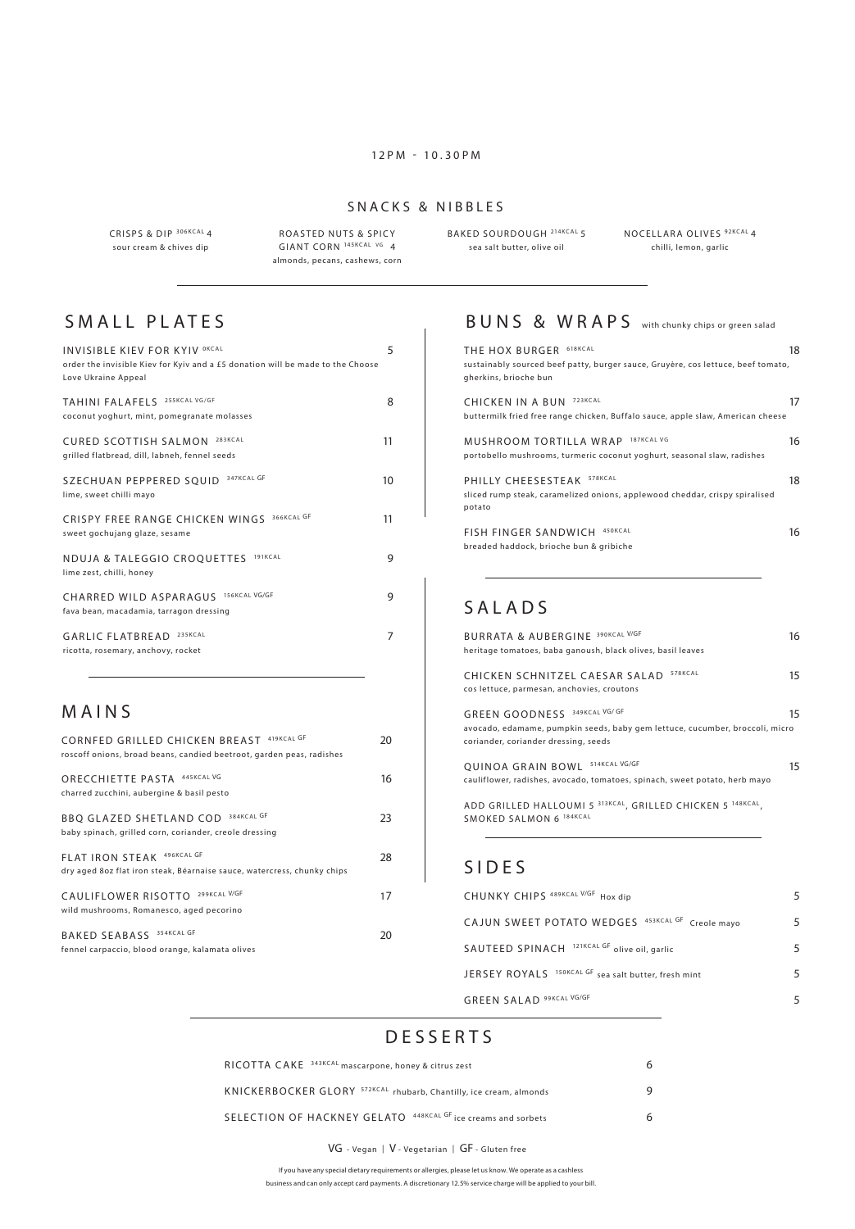#### 12PM - 10.30PM

#### SNACKS & NIBBLES

CRISPS & DIP 306KCAL 4 sour cream & chives dip

ROASTED NUTS & SPICY GIANT CORN <sup>145KCAL</sup> VG 4 almonds, pecans, cashews, corn BAKED SOURDOUGH <sup>214KCAL</sup> 5 NOCELLARA OLIVES <sup>92KCAL</sup> 4 sea salt butter, olive oil

chilli, lemon, garlic

### SMALL PLATES

| <b>INVISIBLE KIEV FOR KYIV OKCAL</b><br>order the invisible Kiev for Kyiv and a £5 donation will be made to the Choose<br>Love Ukraine Appeal | 5  |
|-----------------------------------------------------------------------------------------------------------------------------------------------|----|
| TAHINI FALAFELS 255KCAL VG/GF<br>coconut yoghurt, mint, pomegranate molasses                                                                  | 8  |
| 283KCAL<br>CURED SCOTTISH SALMON<br>grilled flatbread, dill, labneh, fennel seeds                                                             | 11 |
| 347KCAL GF<br>SZECHUAN PEPPERED SQUID<br>lime, sweet chilli mayo                                                                              | 10 |
| 366KCAL GF<br>CRISPY FREE RANGE CHICKEN WINGS<br>sweet gochujang glaze, sesame                                                                | 11 |
| 191KCAL<br>NDUJA & TALEGGIO CROQUETTES<br>lime zest, chilli, honey                                                                            | 9  |
| 156KCAL VG/GF<br>CHARRED WILD ASPARAGUS<br>fava bean, macadamia, tarragon dressing                                                            | 9  |
| 235KCAL<br>GARLIC FLATBREAD<br>ricotta, rosemary, anchovy, rocket                                                                             | 7  |

### **MAINS**

| CORNFED GRILLED CHICKEN BREAST 419KCAL GF<br>roscoff onions, broad beans, candied beetroot, garden peas, radishes | 20 |
|-------------------------------------------------------------------------------------------------------------------|----|
| ORECCHIETTE PASTA 445KCAL VG<br>charred zucchini, aubergine & basil pesto                                         | 16 |
| 384KCAL GF<br><b>BBO GLAZED SHETLAND COD</b><br>baby spinach, grilled corn, coriander, creole dressing            | 23 |
| FLAT IRON STEAK 496KCAL GF<br>dry aged 8oz flat iron steak, Béarnaise sauce, watercress, chunky chips             | 28 |
| 299KCAL V/GF<br>CAULIFLOWER RISOTTO<br>wild mushrooms, Romanesco, aged pecorino                                   | 17 |
| BAKED SEABASS 354KCAL GF<br>fennel carpaccio, blood orange, kalamata olives                                       | 20 |

## BUNS & WRAPS with chunky chips or green salad

| THE HOX BURGER 618KCAL                                                                | 18 |
|---------------------------------------------------------------------------------------|----|
| sustainably sourced beef patty, burger sauce, Gruyère, cos lettuce, beef tomato,      |    |
| gherkins, brioche bun                                                                 |    |
| 723KCAL<br>CHICKEN IN A BUN                                                           | 17 |
| buttermilk fried free range chicken, Buffalo sauce, apple slaw, American cheese       |    |
| MUSHROOM TORTILLA WRAP 187KCAL VG                                                     | 16 |
| portobello mushrooms, turmeric coconut yoghurt, seasonal slaw, radishes               |    |
| 578KCAL<br>PHILLY CHEFSESTEAK                                                         | 18 |
| sliced rump steak, caramelized onions, applewood cheddar, crispy spiralised<br>potato |    |
| 450KCAL<br><b>FISH FINGER SANDWICH</b>                                                | 16 |
| breaded haddock, brioche bun & gribiche                                               |    |
|                                                                                       |    |

### SALADS

| <b>BURRATA &amp; AUBERGINE 390KCAL V/GF</b><br>heritage tomatoes, baba ganoush, black olives, basil leaves                                                                  | 16 |
|-----------------------------------------------------------------------------------------------------------------------------------------------------------------------------|----|
| 578KCAL<br>CHICKEN SCHNITZEL CAESAR SALAD<br>cos lettuce, parmesan, anchovies, croutons                                                                                     | 15 |
| GREEN GOODNESS 349KCAL VG/GF<br>avocado, edamame, pumpkin seeds, baby gem lettuce, cucumber, broccoli, micro<br>coriander, coriander dressing, seeds                        | 15 |
| QUINOA GRAIN BOWL 514KCAL VG/GF<br>cauliflower, radishes, avocado, tomatoes, spinach, sweet potato, herb mayo<br>ADD GRILLED HALLOUMI 5 313KCAL, GRILLED CHICKEN 5 148KCAL, | 15 |
| SMOKED SALMON 6 184KCAL                                                                                                                                                     |    |

#### SIDES

| CHUNKY CHIPS 489KCAL V/GF Hox dip                    | 5 |
|------------------------------------------------------|---|
| CAJUN SWEET POTATO WEDGES 453KCAL GF Creole mavo     | 5 |
| SAUTEED SPINACH 121KCAL GF olive oil, garlic         | 5 |
| JERSEY ROYALS 150KCAL GF sea salt butter, fresh mint | 5 |
| <b>GREEN SALAD 99KCAL VG/GF</b>                      |   |

#### D E S S E R T S

| RICOTTA CAKE 343KCAL mascarpone, honey & citrus zest                          |  |
|-------------------------------------------------------------------------------|--|
| KNICKERBOCKER GLORY <sup>572KCAL</sup> rhubarb, Chantilly, ice cream, almonds |  |
| SELECTION OF HACKNEY GELATO 448KCAL GF ice creams and sorbets                 |  |

#### VG - Vegan | V - Vegetarian | GF - Gluten free

If you have any special dietary requirements or allergies, please let us know. We operate as a cashless

business and can only accept card payments. A discretionary 12.5% service charge will be applied to your bill.